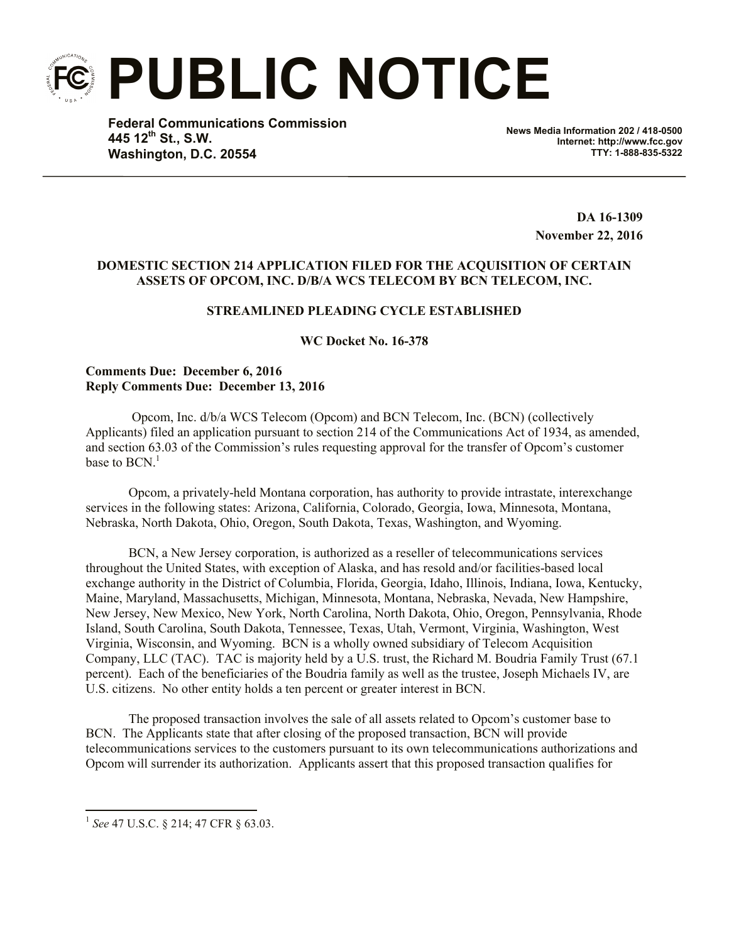**PUBLIC NOTICE**

**Federal Communications Commission 445 12th St., S.W. Washington, D.C. 20554**

**News Media Information 202 / 418-0500 Internet: http://www.fcc.gov TTY: 1-888-835-5322**

> **DA 16-1309 November 22, 2016**

## **DOMESTIC SECTION 214 APPLICATION FILED FOR THE ACQUISITION OF CERTAIN ASSETS OF OPCOM, INC. D/B/A WCS TELECOM BY BCN TELECOM, INC.**

# **STREAMLINED PLEADING CYCLE ESTABLISHED**

**WC Docket No. 16-378**

## **Comments Due: December 6, 2016 Reply Comments Due: December 13, 2016**

Opcom, Inc. d/b/a WCS Telecom (Opcom) and BCN Telecom, Inc. (BCN) (collectively Applicants) filed an application pursuant to section 214 of the Communications Act of 1934, as amended, and section 63.03 of the Commission's rules requesting approval for the transfer of Opcom's customer base to  $\rm{BCN.}^1$ 

Opcom, a privately-held Montana corporation, has authority to provide intrastate, interexchange services in the following states: Arizona, California, Colorado, Georgia, Iowa, Minnesota, Montana, Nebraska, North Dakota, Ohio, Oregon, South Dakota, Texas, Washington, and Wyoming.

BCN, a New Jersey corporation, is authorized as a reseller of telecommunications services throughout the United States, with exception of Alaska, and has resold and/or facilities-based local exchange authority in the District of Columbia, Florida, Georgia, Idaho, Illinois, Indiana, Iowa, Kentucky, Maine, Maryland, Massachusetts, Michigan, Minnesota, Montana, Nebraska, Nevada, New Hampshire, New Jersey, New Mexico, New York, North Carolina, North Dakota, Ohio, Oregon, Pennsylvania, Rhode Island, South Carolina, South Dakota, Tennessee, Texas, Utah, Vermont, Virginia, Washington, West Virginia, Wisconsin, and Wyoming. BCN is a wholly owned subsidiary of Telecom Acquisition Company, LLC (TAC). TAC is majority held by a U.S. trust, the Richard M. Boudria Family Trust (67.1 percent). Each of the beneficiaries of the Boudria family as well as the trustee, Joseph Michaels IV, are U.S. citizens. No other entity holds a ten percent or greater interest in BCN.

The proposed transaction involves the sale of all assets related to Opcom's customer base to BCN. The Applicants state that after closing of the proposed transaction, BCN will provide telecommunications services to the customers pursuant to its own telecommunications authorizations and Opcom will surrender its authorization. Applicants assert that this proposed transaction qualifies for

 $\overline{a}$ 

<sup>1</sup> *See* 47 U.S.C. § 214; 47 CFR § 63.03.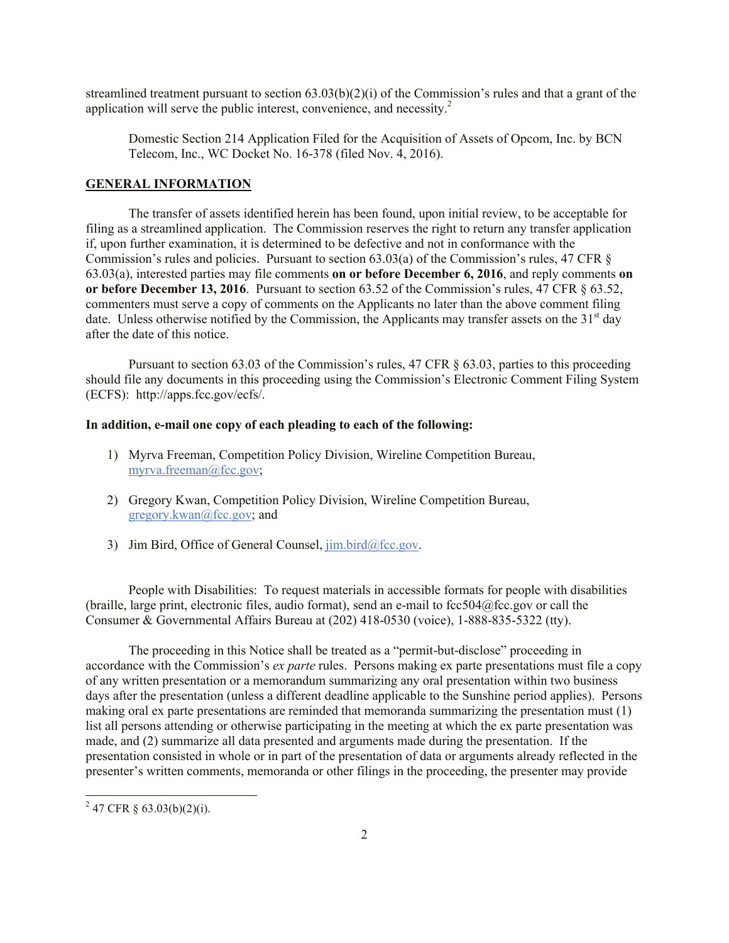streamlined treatment pursuant to section 63.03(b)(2)(i) of the Commission's rules and that a grant of the application will serve the public interest, convenience, and necessity.<sup>2</sup>

Domestic Section 214 Application Filed for the Acquisition of Assets of Opcom, Inc. by BCN Telecom, Inc., WC Docket No. 16-378 (filed Nov. 4, 2016).

### **GENERAL INFORMATION**

The transfer of assets identified herein has been found, upon initial review, to be acceptable for filing as a streamlined application. The Commission reserves the right to return any transfer application if, upon further examination, it is determined to be defective and not in conformance with the Commission's rules and policies. Pursuant to section 63.03(a) of the Commission's rules, 47 CFR § 63.03(a), interested parties may file comments **on or before December 6, 2016**, and reply comments **on or before December 13, 2016**. Pursuant to section 63.52 of the Commission's rules, 47 CFR § 63.52, commenters must serve a copy of comments on the Applicants no later than the above comment filing date. Unless otherwise notified by the Commission, the Applicants may transfer assets on the  $31<sup>st</sup>$  day after the date of this notice.

Pursuant to section 63.03 of the Commission's rules, 47 CFR § 63.03, parties to this proceeding should file any documents in this proceeding using the Commission's Electronic Comment Filing System (ECFS): http://apps.fcc.gov/ecfs/.

### **In addition, e-mail one copy of each pleading to each of the following:**

- 1) Myrva Freeman, Competition Policy Division, Wireline Competition Bureau, myrva.freeman@fcc.gov;
- 2) Gregory Kwan, Competition Policy Division, Wireline Competition Bureau, gregory.kwan@fcc.gov; and
- 3) Jim Bird, Office of General Counsel,  $\lim_{h \to 0} \frac{\text{bird}}{\text{det}}$

People with Disabilities: To request materials in accessible formats for people with disabilities (braille, large print, electronic files, audio format), send an e-mail to fcc504@fcc.gov or call the Consumer & Governmental Affairs Bureau at (202) 418-0530 (voice), 1-888-835-5322 (tty).

The proceeding in this Notice shall be treated as a "permit-but-disclose" proceeding in accordance with the Commission's *ex parte* rules. Persons making ex parte presentations must file a copy of any written presentation or a memorandum summarizing any oral presentation within two business days after the presentation (unless a different deadline applicable to the Sunshine period applies). Persons making oral ex parte presentations are reminded that memoranda summarizing the presentation must (1) list all persons attending or otherwise participating in the meeting at which the ex parte presentation was made, and (2) summarize all data presented and arguments made during the presentation. If the presentation consisted in whole or in part of the presentation of data or arguments already reflected in the presenter's written comments, memoranda or other filings in the proceeding, the presenter may provide

 $^{2}$  47 CFR § 63.03(b)(2)(i).